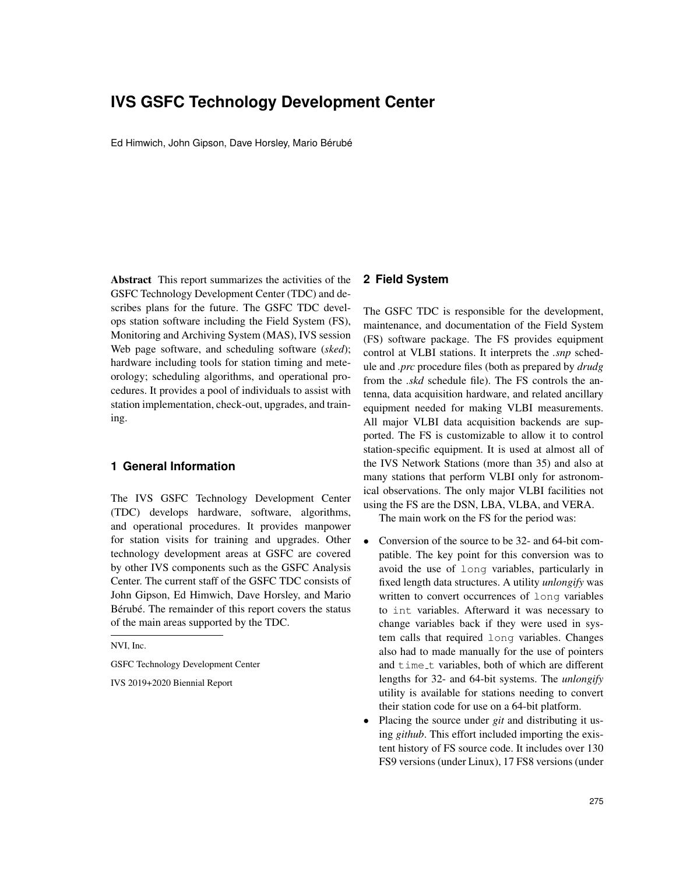# **IVS GSFC Technology Development Center**

Ed Himwich, John Gipson, Dave Horsley, Mario Bérubé

Abstract This report summarizes the activities of the GSFC Technology Development Center (TDC) and describes plans for the future. The GSFC TDC develops station software including the Field System (FS), Monitoring and Archiving System (MAS), IVS session Web page software, and scheduling software (*sked*); hardware including tools for station timing and meteorology; scheduling algorithms, and operational procedures. It provides a pool of individuals to assist with station implementation, check-out, upgrades, and training.

### **1 General Information**

The IVS GSFC Technology Development Center (TDC) develops hardware, software, algorithms, and operational procedures. It provides manpower for station visits for training and upgrades. Other technology development areas at GSFC are covered by other IVS components such as the GSFC Analysis Center. The current staff of the GSFC TDC consists of John Gipson, Ed Himwich, Dave Horsley, and Mario Bérubé. The remainder of this report covers the status of the main areas supported by the TDC.

NVI, Inc.

GSFC Technology Development Center

IVS 2019+2020 Biennial Report

# **2 Field System**

The GSFC TDC is responsible for the development, maintenance, and documentation of the Field System (FS) software package. The FS provides equipment control at VLBI stations. It interprets the *.snp* schedule and *.prc* procedure files (both as prepared by *drudg* from the *.skd* schedule file). The FS controls the antenna, data acquisition hardware, and related ancillary equipment needed for making VLBI measurements. All major VLBI data acquisition backends are supported. The FS is customizable to allow it to control station-specific equipment. It is used at almost all of the IVS Network Stations (more than 35) and also at many stations that perform VLBI only for astronomical observations. The only major VLBI facilities not using the FS are the DSN, LBA, VLBA, and VERA.

The main work on the FS for the period was:

- Conversion of the source to be 32- and 64-bit compatible. The key point for this conversion was to avoid the use of long variables, particularly in fixed length data structures. A utility *unlongify* was written to convert occurrences of long variables to int variables. Afterward it was necessary to change variables back if they were used in system calls that required long variables. Changes also had to made manually for the use of pointers and time\_t variables, both of which are different lengths for 32- and 64-bit systems. The *unlongify* utility is available for stations needing to convert their station code for use on a 64-bit platform.
- Placing the source under *git* and distributing it using *github*. This effort included importing the existent history of FS source code. It includes over 130 FS9 versions (under Linux), 17 FS8 versions (under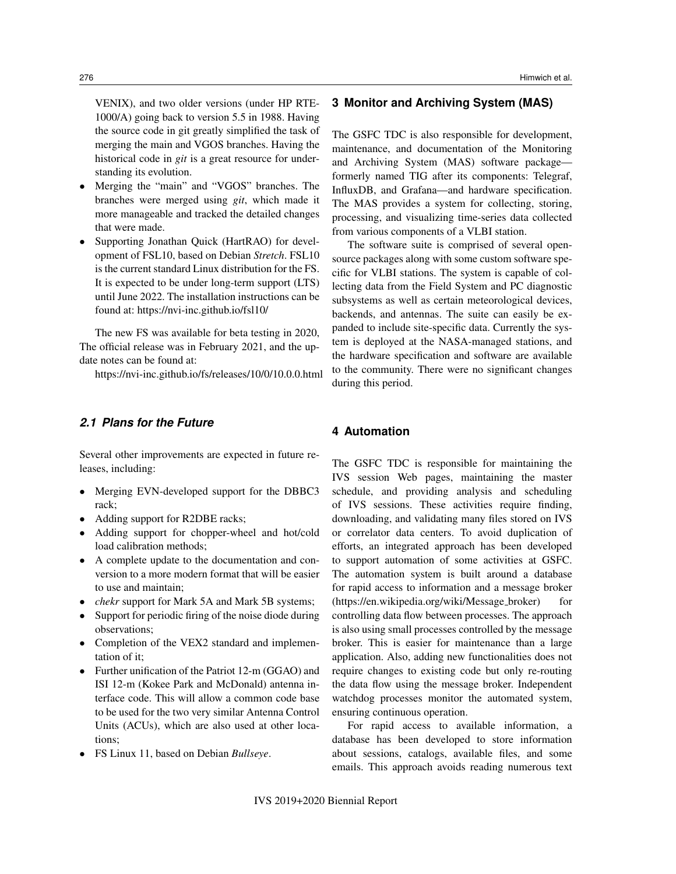VENIX), and two older versions (under HP RTE-1000/A) going back to version 5.5 in 1988. Having the source code in git greatly simplified the task of merging the main and VGOS branches. Having the historical code in *git* is a great resource for understanding its evolution.

- Merging the "main" and "VGOS" branches. The branches were merged using *git*, which made it more manageable and tracked the detailed changes that were made.
- Supporting Jonathan Quick (HartRAO) for development of FSL10, based on Debian *Stretch*. FSL10 is the current standard Linux distribution for the FS. It is expected to be under long-term support (LTS) until June 2022. The installation instructions can be found at: https://nvi-inc.github.io/fsl10/

The new FS was available for beta testing in 2020, The official release was in February 2021, and the update notes can be found at:

https://nvi-inc.github.io/fs/releases/10/0/10.0.0.html

### *2.1 Plans for the Future*

Several other improvements are expected in future releases, including:

- Merging EVN-developed support for the DBBC3 rack;
- Adding support for R2DBE racks;
- Adding support for chopper-wheel and hot/cold load calibration methods;
- A complete update to the documentation and conversion to a more modern format that will be easier to use and maintain;
- *chekr* support for Mark 5A and Mark 5B systems;
- Support for periodic firing of the noise diode during observations;
- Completion of the VEX2 standard and implementation of it;
- Further unification of the Patriot 12-m (GGAO) and ISI 12-m (Kokee Park and McDonald) antenna interface code. This will allow a common code base to be used for the two very similar Antenna Control Units (ACUs), which are also used at other locations;
- FS Linux 11, based on Debian *Bullseye*.

### **3 Monitor and Archiving System (MAS)**

The GSFC TDC is also responsible for development, maintenance, and documentation of the Monitoring and Archiving System (MAS) software package formerly named TIG after its components: Telegraf, InfluxDB, and Grafana—and hardware specification. The MAS provides a system for collecting, storing, processing, and visualizing time-series data collected from various components of a VLBI station.

The software suite is comprised of several opensource packages along with some custom software specific for VLBI stations. The system is capable of collecting data from the Field System and PC diagnostic subsystems as well as certain meteorological devices, backends, and antennas. The suite can easily be expanded to include site-specific data. Currently the system is deployed at the NASA-managed stations, and the hardware specification and software are available to the community. There were no significant changes during this period.

#### **4 Automation**

The GSFC TDC is responsible for maintaining the IVS session Web pages, maintaining the master schedule, and providing analysis and scheduling of IVS sessions. These activities require finding, downloading, and validating many files stored on IVS or correlator data centers. To avoid duplication of efforts, an integrated approach has been developed to support automation of some activities at GSFC. The automation system is built around a database for rapid access to information and a message broker (https://en.wikipedia.org/wiki/Message\_broker) controlling data flow between processes. The approach is also using small processes controlled by the message broker. This is easier for maintenance than a large application. Also, adding new functionalities does not require changes to existing code but only re-routing the data flow using the message broker. Independent watchdog processes monitor the automated system, ensuring continuous operation.

For rapid access to available information, a database has been developed to store information about sessions, catalogs, available files, and some emails. This approach avoids reading numerous text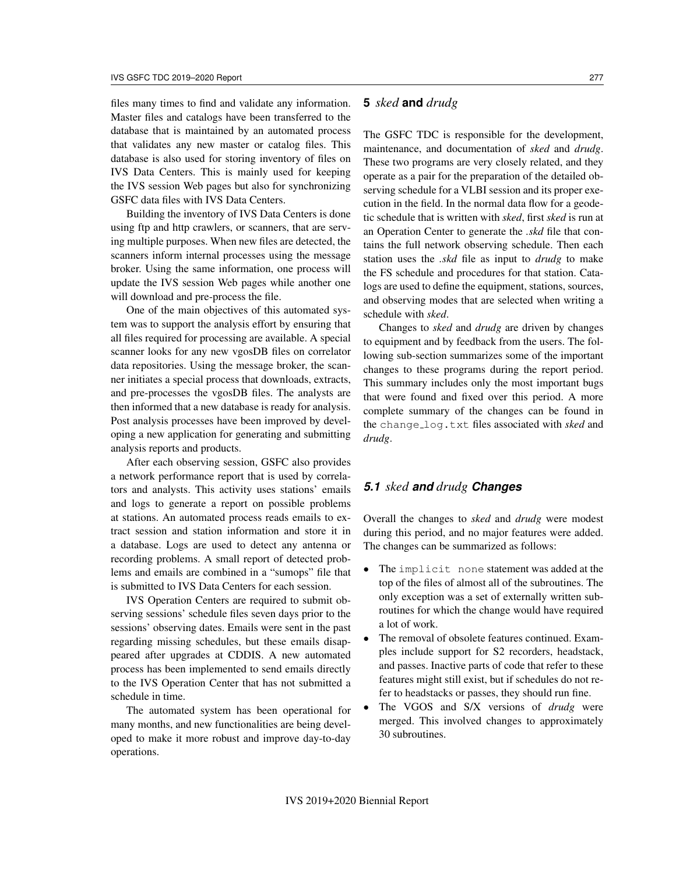files many times to find and validate any information. Master files and catalogs have been transferred to the database that is maintained by an automated process that validates any new master or catalog files. This database is also used for storing inventory of files on IVS Data Centers. This is mainly used for keeping the IVS session Web pages but also for synchronizing GSFC data files with IVS Data Centers.

Building the inventory of IVS Data Centers is done using ftp and http crawlers, or scanners, that are serving multiple purposes. When new files are detected, the scanners inform internal processes using the message broker. Using the same information, one process will update the IVS session Web pages while another one will download and pre-process the file.

One of the main objectives of this automated system was to support the analysis effort by ensuring that all files required for processing are available. A special scanner looks for any new vgosDB files on correlator data repositories. Using the message broker, the scanner initiates a special process that downloads, extracts, and pre-processes the vgosDB files. The analysts are then informed that a new database is ready for analysis. Post analysis processes have been improved by developing a new application for generating and submitting analysis reports and products.

After each observing session, GSFC also provides a network performance report that is used by correlators and analysts. This activity uses stations' emails and logs to generate a report on possible problems at stations. An automated process reads emails to extract session and station information and store it in a database. Logs are used to detect any antenna or recording problems. A small report of detected problems and emails are combined in a "sumops" file that is submitted to IVS Data Centers for each session.

IVS Operation Centers are required to submit observing sessions' schedule files seven days prior to the sessions' observing dates. Emails were sent in the past regarding missing schedules, but these emails disappeared after upgrades at CDDIS. A new automated process has been implemented to send emails directly to the IVS Operation Center that has not submitted a schedule in time.

The automated system has been operational for many months, and new functionalities are being developed to make it more robust and improve day-to-day operations.

### **5** *sked* **and** *drudg*

The GSFC TDC is responsible for the development, maintenance, and documentation of *sked* and *drudg*. These two programs are very closely related, and they operate as a pair for the preparation of the detailed observing schedule for a VLBI session and its proper execution in the field. In the normal data flow for a geodetic schedule that is written with *sked*, first *sked* is run at an Operation Center to generate the *.skd* file that contains the full network observing schedule. Then each station uses the *.skd* file as input to *drudg* to make the FS schedule and procedures for that station. Catalogs are used to define the equipment, stations, sources, and observing modes that are selected when writing a schedule with *sked*.

Changes to *sked* and *drudg* are driven by changes to equipment and by feedback from the users. The following sub-section summarizes some of the important changes to these programs during the report period. This summary includes only the most important bugs that were found and fixed over this period. A more complete summary of the changes can be found in the change log.txt files associated with *sked* and *drudg*.

# *5.1 sked and drudg Changes*

Overall the changes to *sked* and *drudg* were modest during this period, and no major features were added. The changes can be summarized as follows:

- The implicit none statement was added at the top of the files of almost all of the subroutines. The only exception was a set of externally written subroutines for which the change would have required a lot of work.
- The removal of obsolete features continued. Examples include support for S2 recorders, headstack, and passes. Inactive parts of code that refer to these features might still exist, but if schedules do not refer to headstacks or passes, they should run fine.
- The VGOS and S/X versions of *drudg* were merged. This involved changes to approximately 30 subroutines.